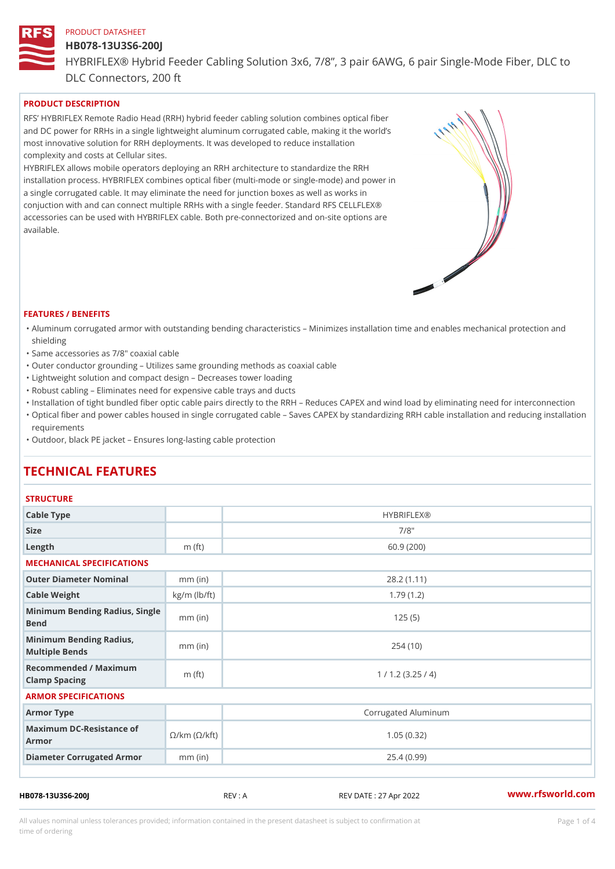#### HB078-13U3S6-200J

HYBRIFLEX® Hybrid Feeder Cabling Solution 3x6, 7/8, 3 pair 6AWG, 6 DLC Connectors, 200 ft

# PRODUCT DESCRIPTION

RFS HYBRIFLEX Remote Radio Head (RRH) hybrid feeder cabling solution combines optical fibe and DC power for RRHs in a single lightweight aluminum corrugated cable, making it the world s most innovative solution for RRH deployments. It was developed to reduce installation complexity and costs at Cellular sites.

HYBRIFLEX allows mobile operators deploying an RRH architecture to standardize the RRH installation process. HYBRIFLEX combines optical fiber (multi-mode or single-mode) and power in a single corrugated cable. It may eliminate the need for junction boxes as well as works in conjuction with and can connect multiple RRHs with a single feeder. Standard RFS CELLFLEX® accessories can be used with HYBRIFLEX cable. Both pre-connectorized and on-site options are available.

#### FEATURES / BENEFITS

- "Aluminum corrugated armor with outstanding bending characteristics Minimizes installation time a shielding
- "Same accessories as 7/8" coaxial cable
- "Outer conductor grounding Utilizes same grounding methods as coaxial cable
- "Lightweight solution and compact design Decreases tower loading
- "Robust cabling Eliminates need for expensive cable trays and ducts
- "Installation of tight bundled fiber optic cable pairs directly to the RRH and belogies CAPEX and wind  $\theta$
- "Optical fiber and power cables housed in single corrugated cable  $\,$  Saves CAPEX by standardiz $\,$ ng  $\,$ requirements
- "Outdoor, black PE jacket Ensures long-lasting cable protection

# TECHNICAL FEATURES

## **STRUCTURE**

| Cable Type                                                             |                    | <b>HYBRIFLEX®</b>   |  |  |  |
|------------------------------------------------------------------------|--------------------|---------------------|--|--|--|
| Size                                                                   |                    | $7/8$ "             |  |  |  |
| Length                                                                 | m $(ft)$           | 60.9(200)           |  |  |  |
| MECHANICAL SPECIFICATIONS                                              |                    |                     |  |  |  |
| Outer Diameter Nominal                                                 | $mm$ (in)          | 28.2(1.11)          |  |  |  |
| Cable Weight                                                           | $kg/m$ ( $lb/ft$ ) | 1.79(1.2)           |  |  |  |
| Minimum Bending Radius, Single<br>Bend                                 |                    | 125(5)              |  |  |  |
| Minimum Bending Radius,<br>Multiple Bends                              | $mm$ (in)          | 254(10)             |  |  |  |
| Recommended / Maximum<br>Clamp Spacing                                 | m $(ft)$           | 1 / 1.2 (3.25 / 4)  |  |  |  |
| ARMOR SPECIFICATIONS                                                   |                    |                     |  |  |  |
| Armor Type                                                             |                    | Corrugated Aluminum |  |  |  |
| Maximum DC-Resistance $\mathcal{S}/k$ m ( $\mathcal{O}/k$ ft)<br>Armor |                    | 1.05(0.32)          |  |  |  |
| Diameter Corrugated Armomm (in)                                        |                    | 25.4(0.99)          |  |  |  |
|                                                                        |                    |                     |  |  |  |

HB078-13U3S6-200J REV : A REV DATE : 27 Apr 2022 [www.](https://www.rfsworld.com)rfsworld.com

All values nominal unless tolerances provided; information contained in the present datasheet is subject to Pcapgeligim attio time of ordering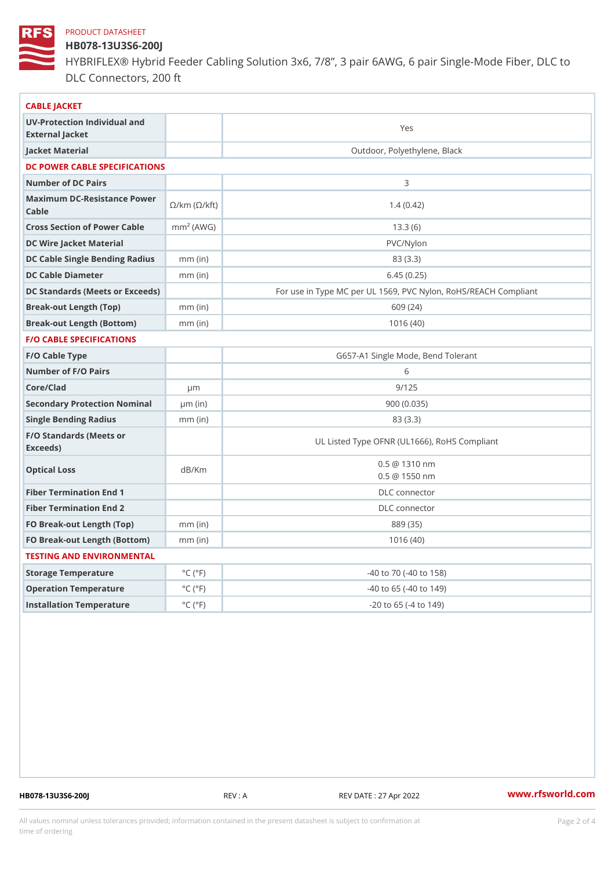# HB078-13U3S6-200J

HYBRIFLEX® Hybrid Feeder Cabling Solution 3x6, 7/8, 3 pair 6AWG, 6 DLC Connectors, 200 ft

| CABLE JACKET                                                                                                                   |                             |                                                      |
|--------------------------------------------------------------------------------------------------------------------------------|-----------------------------|------------------------------------------------------|
| UV-Protection Individual and<br>External Jacket                                                                                |                             | Yes                                                  |
| Jacket Material                                                                                                                |                             | Outdoor, Polyethylene, Black                         |
| DC POWER CABLE SPECIFICATIONS                                                                                                  |                             |                                                      |
| Number of DC Pairs                                                                                                             |                             | 3                                                    |
| Maximum DC-Resistance $\bigotimes_{k=1}^{\infty} K$ $\bigotimes_{k=1}^{\infty}$ ( $\bigotimes_{k=1}^{\infty}$ kft)<br>$C$ able |                             | 1.4(0.42)                                            |
| Cross Section of Power Chamble (AWG)                                                                                           |                             | 13.3(6)                                              |
| DC Wire Jacket Material                                                                                                        |                             | PVC/Nylon                                            |
| DC Cable Single Bending Rhandi(uish)                                                                                           |                             | 83 (3.3)                                             |
| DC Cable Diameter                                                                                                              | $mm$ (in)                   | 6.45(0.25)                                           |
| DC Standards (Meets or Exceeds)                                                                                                |                             | For use in Type MC per UL 1569, PVC Nylon, RoHS/REAC |
| Break-out Length (Top)                                                                                                         | $mm$ (in)                   | 609 (24)                                             |
| Break-out Length (Bottcm)mm (in)                                                                                               |                             | 1016(40)                                             |
| <b>F/O CABLE SPECIFICATIONS</b>                                                                                                |                             |                                                      |
| F/O Cable Type                                                                                                                 |                             | G657-A1 Single Mode, Bend Tolerant                   |
| Number of F/O Pairs                                                                                                            |                             | 6                                                    |
| Core/Clad                                                                                                                      | $\mu$ m                     | 9/125                                                |
| Secondary Protection Nomimal(in)                                                                                               |                             | 900(0.035)                                           |
| Single Bending Radius                                                                                                          | $mm$ (in)                   | 83 (3.3)                                             |
| F/O Standards (Meets or<br>Exceeds)                                                                                            |                             | UL Listed Type OFNR (UL1666), RoHS Compliant         |
| Optical Loss                                                                                                                   | dB/Km                       | $0.5 \t@ 1310 nm$<br>$0.5 \t@ 1550 nm$               |
| Fiber Termination End                                                                                                          |                             | DLC connector                                        |
| Fiber Termination End 2                                                                                                        |                             | DLC connector                                        |
| FO Break-out Length (Top)mm (in)                                                                                               |                             | 889 (35)                                             |
| FO Break-out Length (Bottomm) (in)                                                                                             |                             | 1016(40)                                             |
| TESTING AND ENVIRONMENTAL                                                                                                      |                             |                                                      |
| Storage Temperature                                                                                                            | $^{\circ}$ C ( $^{\circ}$ F | $-40$ to $70$ ( $-40$ to $158$ )                     |
| Operation Temperature                                                                                                          | $^{\circ}$ C ( $^{\circ}$ F | $-40$ to 65 ( $-40$ to 149)                          |
| Installation Temperature                                                                                                       | $^{\circ}$ C ( $^{\circ}$ F | $-20$ to 65 ( $-4$ to 149)                           |
|                                                                                                                                |                             |                                                      |

HB078-13U3S6-200J REV : A REV DATE : 27 Apr 2022 [www.](https://www.rfsworld.com)rfsworld.com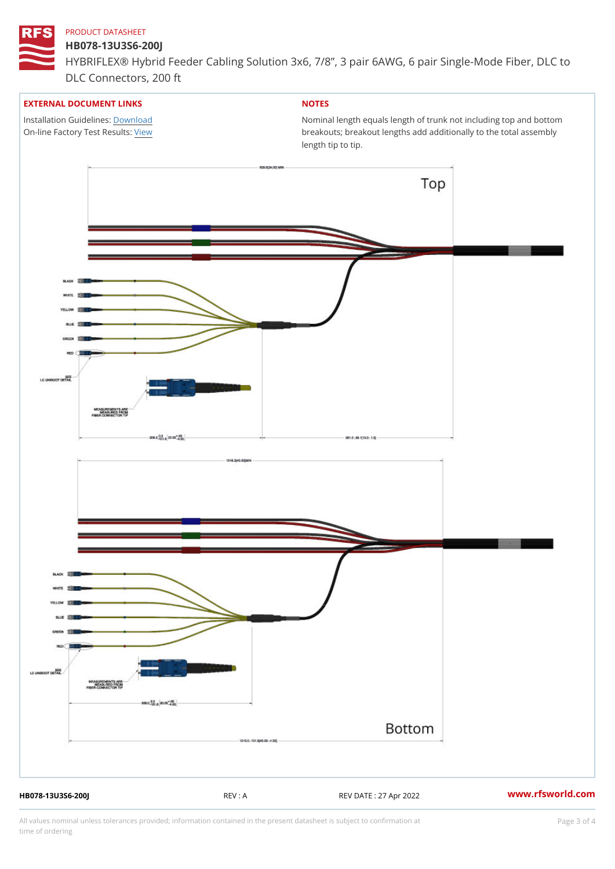### HB078-13U3S6-200J

HYBRIFLEX® Hybrid Feeder Cabling Solution 3x6, 7/8, 3 pair 6AWG, 6 DLC Connectors, 200 ft

### EXTERNAL DOCUMENT LINKS

Installation Guidelwinessad On-line Factory Te[s](https://www.rfsworld.com/pictures/userfiles/programs/AAST Latest Version.zip)/teRvesults:

# NOTES

Nominal length equals length of trunk not including t breakouts; breakout lengths add additionally to the t length tip to tip.

HB078-13U3S6-200J REV : A REV DATE : 27 Apr 2022 [www.](https://www.rfsworld.com)rfsworld.com

All values nominal unless tolerances provided; information contained in the present datasheet is subject to Pcapgeling that i time of ordering